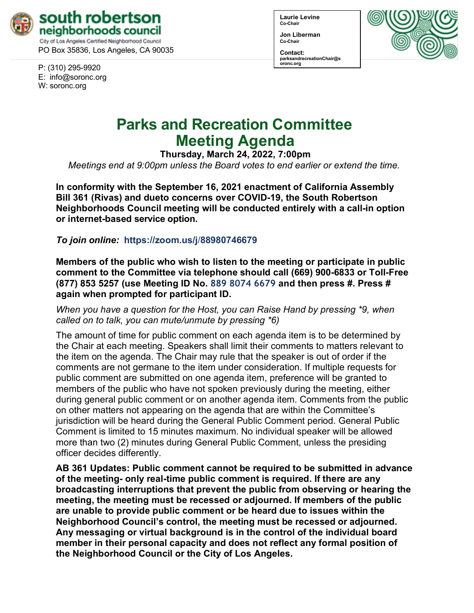

PO Box 35836, Los Angeles, CA 90035

P: (310) 295-9920 E: [info@soronc.org](mailto:info@soronc.org) W: soronc.org

**Laurie Levine Co-Chair**

**Jon Liberman Co-Chair**

**Contact: [parksandrecreation](mailto:EducationChair@soronc.org)Chair@s oronc.org** 



# **Parks and Recreation Committee Meeting Agenda**

**Thursday, March 24, 2022, 7:00pm** 

*Meetings end at 9:00pm unless the Board votes to end earlier or extend the time.*

**In conformity with the September 16, 2021 enactment of California Assembly Bill 361 (Rivas) and dueto concerns over COVID-19, the South Robertson Neighborhoods Council meeting will be conducted entirely with a call-in option or internet-based service option.** 

*To join online:* **https://zoom.us/j**/**88980746679**

**Members of the public who wish to listen to the meeting or participate in public comment to the Committee via telephone should call (669) 900-6833 or Toll-Free (877) 853 5257 (use Meeting ID No. 889 8074 6679 and then press #. Press # again when prompted for participant ID.**

*When you have a question for the Host, you can Raise Hand by pressing \*9, when called on to talk, you can mute/unmute by pressing \*6)*

The amount of time for public comment on each agenda item is to be determined by the Chair at each meeting. Speakers shall limit their comments to matters relevant to the item on the agenda. The Chair may rule that the speaker is out of order if the comments are not germane to the item under consideration. If multiple requests for public comment are submitted on one agenda item, preference will be granted to members of the public who have not spoken previously during the meeting, either during general public comment or on another agenda item. Comments from the public on other matters not appearing on the agenda that are within the Committee's jurisdiction will be heard during the General Public Comment period. General Public Comment is limited to 15 minutes maximum. No individual speaker will be allowed more than two (2) minutes during General Public Comment, unless the presiding officer decides differently.

**AB 361 Updates: Public comment cannot be required to be submitted in advance of the meeting- only real-time public comment is required. If there are any broadcasting interruptions that prevent the public from observing or hearing the meeting, the meeting must be recessed or adjourned. If members of the public are unable to provide public comment or be heard due to issues within the Neighborhood Council's control, the meeting must be recessed or adjourned. Any messaging or virtual background is in the control of the individual board member in their personal capacity and does not reflect any formal position of the Neighborhood Council or the City of Los Angeles.**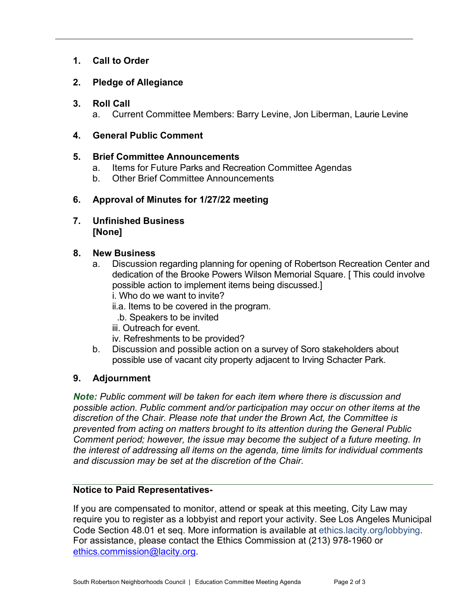## **1. Call to Order**

## **2. Pledge of Allegiance**

### **3. Roll Call**

a. Current Committee Members: Barry Levine, Jon Liberman, Laurie Levine

## **4. General Public Comment**

## **5. Brief Committee Announcements**

- a. Items for Future Parks and Recreation Committee Agendas
- b. Other Brief Committee Announcements

## **6. Approval of Minutes for 1/27/22 meeting**

**7. Unfinished Business [None]**

## **8. New Business**

- a. Discussion regarding planning for opening of Robertson Recreation Center and dedication of the Brooke Powers Wilson Memorial Square. [ This could involve possible action to implement items being discussed.]
	- i. Who do we want to invite?
	- ii.a. Items to be covered in the program.
	- .b. Speakers to be invited
	- iii. Outreach for event.
	- iv. Refreshments to be provided?
- b. Discussion and possible action on a survey of Soro stakeholders about possible use of vacant city property adjacent to Irving Schacter Park.

## **9. Adjournment**

*Note: Public comment will be taken for each item where there is discussion and possible action. Public comment and/or participation may occur on other items at the discretion of the Chair. Please note that under the Brown Act, the Committee is prevented from acting on matters brought to its attention during the General Public Comment period; however, the issue may become the subject of a future meeting. In the interest of addressing all items on the agenda, time limits for individual comments and discussion may be set at the discretion of the Chair.*

### **Notice to Paid Representatives-**

If you are compensated to monitor, attend or speak at this meeting, City Law may require you to register as a lobbyist and report your activity. See Los Angeles Municipal Code Section 48.01 et seq. More information is available at ethics.lacity.org/lobbying. For assistance, please contact the Ethics Commission at (213) 978-1960 or [ethics.commission@lacity.org.](mailto:ethics.commission@lacity.org)